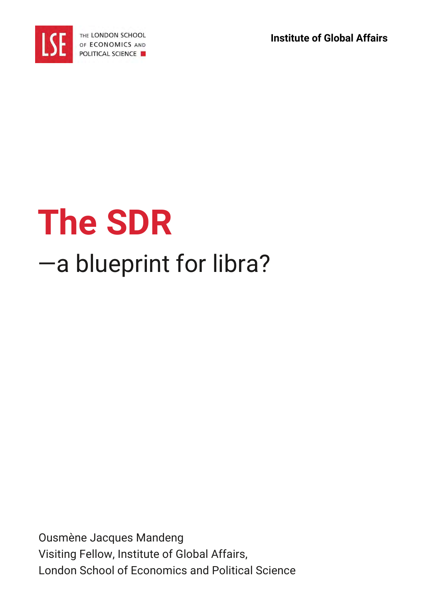**Institute of Global Affairs**



# **The SDR** —a blueprint for libra?

Ousmène Jacques Mandeng Visiting Fellow, Institute of Global Affairs, London School of Economics and Political Science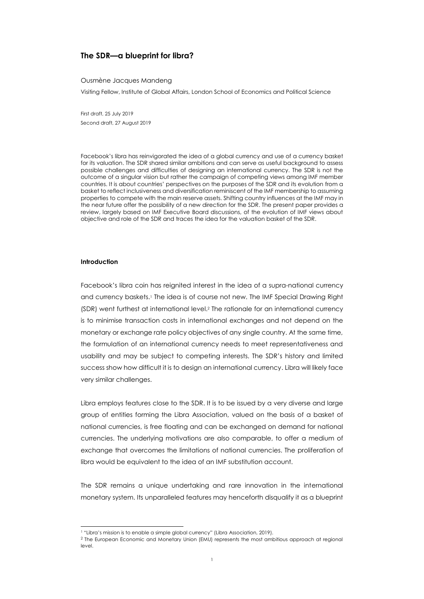# **The SDR—a blueprint for libra?**

#### Ousmène Jacques Mandeng

Visiting Fellow, Institute of Global Affairs, London School of Economics and Political Science

First draft, 25 July 2019 Second draft, 27 August 2019

Facebook's libra has reinvigorated the idea of a global currency and use of a currency basket for its valuation. The SDR shared similar ambitions and can serve as useful background to assess possible challenges and difficulties of designing an international currency. The SDR is not the outcome of a singular vision but rather the campaign of competing views among IMF member countries. It is about countries' perspectives on the purposes of the SDR and its evolution from a basket to reflect inclusiveness and diversification reminiscent of the IMF membership to assuming properties to compete with the main reserve assets. Shifting country influences at the IMF may in the near future offer the possibility of a new direction for the SDR. The present paper provides a review, largely based on IMF Executive Board discussions, of the evolution of IMF views about objective and role of the SDR and traces the idea for the valuation basket of the SDR.

# **Introduction**

l

Facebook's libra coin has reignited interest in the idea of a supra-national currency and currency baskets.<sup>1</sup> The idea is of course not new. The IMF Special Drawing Right (SDR) went furthest at international level. <sup>2</sup> The rationale for an international currency is to minimise transaction costs in international exchanges and not depend on the monetary or exchange rate policy objectives of any single country. At the same time, the formulation of an international currency needs to meet representativeness and usability and may be subject to competing interests. The SDR's history and limited success show how difficult it is to design an international currency. Libra will likely face very similar challenges.

Libra employs features close to the SDR. It is to be issued by a very diverse and large group of entities forming the Libra Association, valued on the basis of a basket of national currencies, is free floating and can be exchanged on demand for national currencies. The underlying motivations are also comparable, to offer a medium of exchange that overcomes the limitations of national currencies. The proliferation of libra would be equivalent to the idea of an IMF substitution account.

The SDR remains a unique undertaking and rare innovation in the international monetary system. Its unparalleled features may henceforth disqualify it as a blueprint

<sup>&</sup>lt;sup>1</sup> "Libra's mission is to enable a simple global currency" (Libra Association, 2019).

<sup>&</sup>lt;sup>2</sup> The European Economic and Monetary Union (EMU) represents the most ambitious approach at regional level.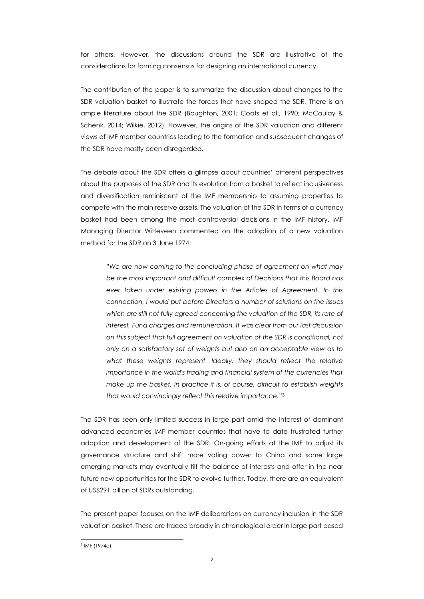for others. However, the discussions around the SDR are illustrative of the considerations for forming consensus for designing an international currency.

The contribution of the paper is to summarize the discussion about changes to the SDR valuation basket to illustrate the forces that have shaped the SDR. There is an ample literature about the SDR (Boughton, 2001; Coats et al., 1990; McCaulay & Schenk, 2014; Wilkie, 2012). However, the origins of the SDR valuation and different views of IMF member countries leading to the formation and subsequent changes of the SDR have mostly been disregarded.

The debate about the SDR offers a glimpse about countries' different perspectives about the purposes of the SDR and its evolution from a basket to reflect inclusiveness and diversification reminiscent of the IMF membership to assuming properties to compete with the main reserve assets. The valuation of the SDR in terms of a currency basket had been among the most controversial decisions in the IMF history. IMF Managing Director Witteveen commented on the adoption of a new valuation method for the SDR on 3 June 1974:

"*We are now coming to the concluding phase of agreement on what may be the most important and difficult complex of Decisions that this Board has ever taken under existing powers in the Articles of Agreement. In this connection, I would put before Directors a number of solutions on the issues*  which are still not fully agreed concerning the valuation of the SDR, its rate of *interest, Fund charges and remuneration. It was clear from our last discussion on this subject that full agreement on valuation of the SDR is conditional, not only on a satisfactory set of weights but also on an acceptable view as to what these weights represent. Ideally, they should reflect the relative importance in the world's trading and financial system of the currencies that make up the basket. In practice it is, of course, difficult to establish weights that would convincingly reflect this relative importance.*" 3

The SDR has seen only limited success in large part amid the interest of dominant advanced economies IMF member countries that have to date frustrated further adoption and development of the SDR. On-going efforts at the IMF to adjust its governance structure and shift more voting power to China and some large emerging markets may eventually tilt the balance of interests and offer in the near future new opportunities for the SDR to evolve further. Today, there are an equivalent of US\$291 billion of SDRs outstanding.

The present paper focuses on the IMF deliberations on currency inclusion in the SDR valuation basket. These are traced broadly in chronological order in large part based

 $\overline{a}$ 3 IMF (1974e).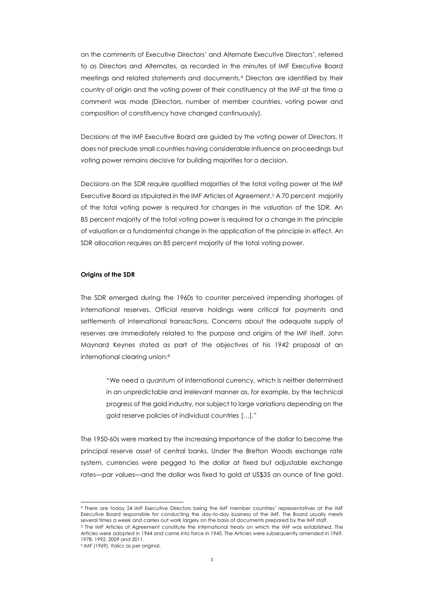on the comments of Executive Directors' and Alternate Executive Directors', referred to as Directors and Alternates, as recorded in the minutes of IMF Executive Board meetings and related statements and documents.<sup>4</sup> Directors are identified by their country of origin and the voting power of their constituency at the IMF at the time a comment was made (Directors, number of member countries, voting power and composition of constituency have changed continuously).

Decisions at the IMF Executive Board are guided by the voting power of Directors. It does not preclude small countries having considerable influence on proceedings but voting power remains decisive for building majorities for a decision.

Decisions on the SDR require qualified majorities of the total voting power at the IMF Executive Board as stipulated in the IMF Articles of Agreement.5 A 70 percent majority of the total voting power is required for changes in the valuation of the SDR. An 85 percent majority of the total voting power is required for a change in the principle of valuation or a fundamental change in the application of the principle in effect. An SDR allocation requires an 85 percent majority of the total voting power.

#### **Origins of the SDR**

The SDR emerged during the 1960s to counter perceived impending shortages of international reserves. Official reserve holdings were critical for payments and settlements of international transactions. Concerns about the adequate supply of reserves are immediately related to the purpose and origins of the IMF itself. John Maynard Keynes stated as part of the objectives of his 1942 proposal of an international clearing union:<sup>6</sup>

"We need a *quantum* of international currency, which is neither determined in an unpredictable and irrelevant manner as, for example, by the technical progress of the gold industry, nor subject to large variations depending on the gold reserve policies of individual countries […]."

The 1950-60s were marked by the increasing importance of the dollar to become the principal reserve asset of central banks. Under the Bretton Woods exchange rate system, currencies were pegged to the dollar at fixed but adjustable exchange rates—par values—and the dollar was fixed to gold at US\$35 an ounce of fine gold.

<sup>4</sup> There are today 24 IMF Executive Directors being the IMF member countries' representatives at the IMF Executive Board responsible for conducting the day-to-day business of the IMF. The Board usually meets several times a week and carries out work largely on the basis of documents prepared by the IMF staff.

<sup>5</sup> The IMF Articles of Agreement constitute the international treaty on which the IMF was established. The Articles were adopted in 1944 and came into force in 1945. The Articles were subsequently amended in 1969, 1978, 1992, 2009 and 2011.

<sup>6</sup> IMF (1969). Italics as per original.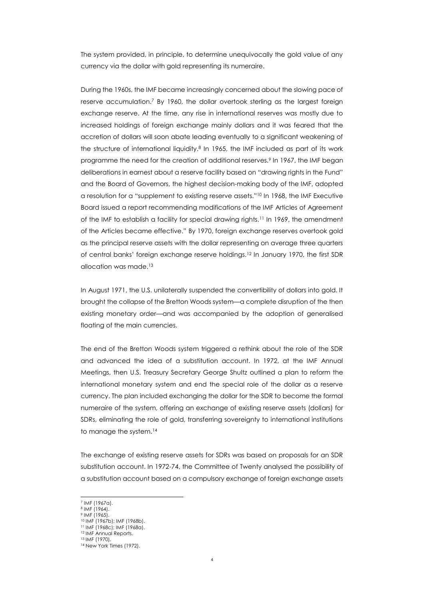The system provided, in principle, to determine unequivocally the gold value of any currency via the dollar with gold representing its numeraire.

During the 1960s, the IMF became increasingly concerned about the slowing pace of reserve accumulation.<sup>7</sup> By 1960, the dollar overtook sterling as the largest foreign exchange reserve. At the time, any rise in international reserves was mostly due to increased holdings of foreign exchange mainly dollars and it was feared that the accretion of dollars will soon abate leading eventually to a significant weakening of the structure of international liquidity.<sup>8</sup> In 1965, the IMF included as part of its work programme the need for the creation of additional reserves.<sup>9</sup> In 1967, the IMF began deliberations in earnest about a reserve facility based on "drawing rights in the Fund" and the Board of Governors, the highest decision-making body of the IMF, adopted a resolution for a "supplement to existing reserve assets."<sup>10</sup> In 1968, the IMF Executive Board issued a report recommending modifications of the IMF Articles of Agreement of the IMF to establish a facility for special drawing rights.<sup>11</sup> In 1969, the amendment of the Articles became effective." By 1970, foreign exchange reserves overtook gold as the principal reserve assets with the dollar representing on average three quarters of central banks' foreign exchange reserve holdings.<sup>12</sup> In January 1970, the first SDR allocation was made.<sup>13</sup>

In August 1971, the U.S. unilaterally suspended the convertibility of dollars into gold. It brought the collapse of the Bretton Woods system—a complete disruption of the then existing monetary order—and was accompanied by the adoption of generalised floating of the main currencies.

The end of the Bretton Woods system triggered a rethink about the role of the SDR and advanced the idea of a substitution account. In 1972, at the IMF Annual Meetings, then U.S. Treasury Secretary George Shultz outlined a plan to reform the international monetary system and end the special role of the dollar as a reserve currency. The plan included exchanging the dollar for the SDR to become the formal numeraire of the system, offering an exchange of existing reserve assets (dollars) for SDRs, eliminating the role of gold, transferring sovereignty to international institutions to manage the system.<sup>14</sup>

The exchange of existing reserve assets for SDRs was based on proposals for an SDR substitution account. In 1972-74, the Committee of Twenty analysed the possibility of a substitution account based on a compulsory exchange of foreign exchange assets

<sup>7</sup> IMF (1967a).

<sup>8</sup> IMF (1964).

<sup>9</sup> IMF (1965). <sup>10</sup> IMF (1967b); IMF (1968b).

<sup>11</sup> IMF (1968c); IMF (1968a).

<sup>12</sup> IMF Annual Reports.

<sup>13</sup> IMF (1970).

<sup>&</sup>lt;sup>14</sup> New York Times (1972).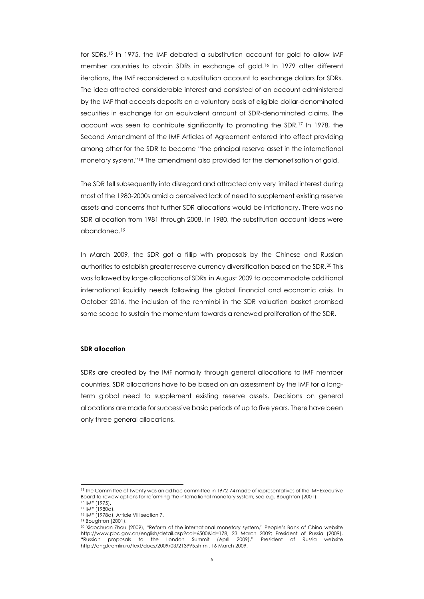for SDRs.<sup>15</sup> In 1975, the IMF debated a substitution account for gold to allow IMF member countries to obtain SDRs in exchange of gold.<sup>16</sup> In 1979 after different iterations, the IMF reconsidered a substitution account to exchange dollars for SDRs. The idea attracted considerable interest and consisted of an account administered by the IMF that accepts deposits on a voluntary basis of eligible dollar-denominated securities in exchange for an equivalent amount of SDR-denominated claims. The account was seen to contribute significantly to promoting the SDR.<sup>17</sup> In 1978, the Second Amendment of the IMF Articles of Agreement entered into effect providing among other for the SDR to become "the principal reserve asset in the international monetary system."<sup>18</sup> The amendment also provided for the demonetisation of gold.

The SDR fell subsequently into disregard and attracted only very limited interest during most of the 1980-2000s amid a perceived lack of need to supplement existing reserve assets and concerns that further SDR allocations would be inflationary. There was no SDR allocation from 1981 through 2008. In 1980, the substitution account ideas were abandoned.<sup>19</sup>

<span id="page-5-0"></span>In March 2009, the SDR got a fillip with proposals by the Chinese and Russian authorities to establish greater reserve currency diversification based on the SDR.<sup>20</sup> This was followed by large allocations of SDRs in August 2009 to accommodate additional international liquidity needs following the global financial and economic crisis. In October 2016, the inclusion of the renminbi in the SDR valuation basket promised some scope to sustain the momentum towards a renewed proliferation of the SDR.

#### **SDR allocation**

SDRs are created by the IMF normally through general allocations to IMF member countries. SDR allocations have to be based on an assessment by the IMF for a longterm global need to supplement existing reserve assets. Decisions on general allocations are made for successive basic periods of up to five years. There have been only three general allocations.

<sup>15</sup> The Committee of Twenty was an ad hoc committee in 1972-74 made of representatives of the IMF Executive Board to review options for reforming the international monetary system; see e.g. Boughton (2001). <sup>16</sup> IMF (1975).

<sup>17</sup> IMF (1980d).

<sup>18</sup> IMF (1978a), Article VIII section 7.

<sup>19</sup> Boughton (2001).

<sup>20</sup> Xiaochuan Zhou (2009), "Reform of the international monetary system," People's Bank of China website http://www.pbc.gov.cn/english/detail.asp?col=6500&id=178, 23 March 2009; President of Russia (2009),<br>"Russian proposals to the London Summit (April 2009)," President of Russia website "Russian proposals to the London Summit (April 2009)," President of Russia website http://eng.kremlin.ru/text/docs/2009/03/213995.shtml, 16 March 2009.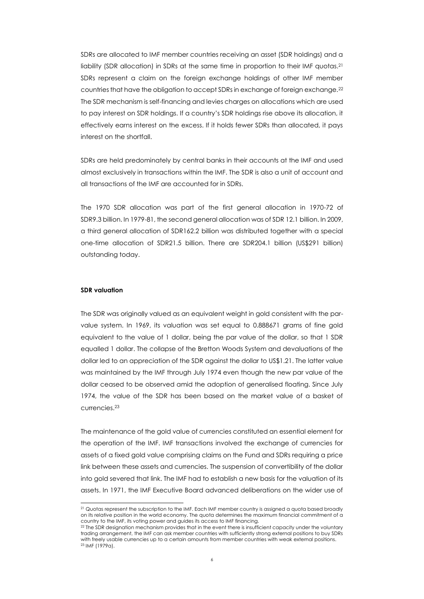SDRs are allocated to IMF member countries receiving an asset (SDR holdings) and a liability (SDR allocation) in SDRs at the same time in proportion to their IMF quotas.<sup>21</sup> SDRs represent a claim on the foreign exchange holdings of other IMF member countries that have the obligation to accept SDRs in exchange of foreign exchange.<sup>22</sup> The SDR mechanism is self-financing and levies charges on allocations which are used to pay interest on SDR holdings. If a country's SDR holdings rise above its allocation, it effectively earns interest on the excess. If it holds fewer SDRs than allocated, it pays interest on the shortfall.

SDRs are held predominately by central banks in their accounts at the IMF and used almost exclusively in transactions within the IMF. The SDR is also a unit of account and all transactions of the IMF are accounted for in SDRs.

The 1970 SDR allocation was part of the first general allocation in 1970-72 of SDR9.3 billion. In 1979-81, the second general allocation was of SDR 12.1 billion. In 2009, a third general allocation of SDR162.2 billion was distributed together with a special one-time allocation of SDR21.5 billion. There are SDR204.1 billion (US\$291 billion) outstanding today.

### **SDR valuation**

l

The SDR was originally valued as an equivalent weight in gold consistent with the parvalue system. In 1969, its valuation was set equal to 0.888671 grams of fine gold equivalent to the value of 1 dollar, being the par value of the dollar, so that 1 SDR equalled 1 dollar. The collapse of the Bretton Woods System and devaluations of the dollar led to an appreciation of the SDR against the dollar to US\$1.21. The latter value was maintained by the IMF through July 1974 even though the new par value of the dollar ceased to be observed amid the adoption of generalised floating. Since July 1974, the value of the SDR has been based on the market value of a basket of currencies.<sup>23</sup>

The maintenance of the gold value of currencies constituted an essential element for the operation of the IMF. IMF transactions involved the exchange of currencies for assets of a fixed gold value comprising claims on the Fund and SDRs requiring a price link between these assets and currencies. The suspension of convertibility of the dollar into gold severed that link. The IMF had to establish a new basis for the valuation of its assets. In 1971, the IMF Executive Board advanced deliberations on the wider use of

<sup>&</sup>lt;sup>21</sup> Quotas represent the subscription to the IMF. Each IMF member country is assigned a quota based broadly on its relative position in the world economy. The quota determines the maximum financial commitment of a country to the IMF, its voting power and guides its access to IMF financing.

<sup>22</sup> The SDR designation mechanism provides that in the event there is insufficient capacity under the voluntary trading arrangement, the IMF can ask member countries with sufficiently strong external positions to buy SDRs with freely usable currencies up to a certain amounts from member countries with weak external positions. 23 IMF (1979a).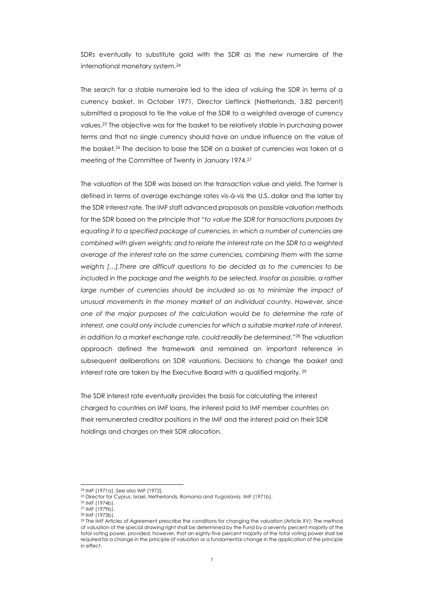SDRs eventually to substitute gold with the SDR as the new numeraire of the international monetary system.<sup>24</sup>

The search for a stable numeraire led to the idea of valuing the SDR in terms of a currency basket. In October 1971, Director Lieftinck (Netherlands, 3.82 percent) submitted a proposal to tie the value of the SDR to a weighted average of currency values.<sup>25</sup> The objective was for the basket to be relatively stable in purchasing power terms and that no single currency should have an undue influence on the value of the basket.<sup>26</sup> The decision to base the SDR on a basket of currencies was taken at a meeting of the Committee of Twenty in January 1974.<sup>27</sup>

The valuation of the SDR was based on the transaction value and yield. The former is defined in terms of average exchange rates vis-à-vis the U.S. dollar and the latter by the SDR interest rate. The IMF staff advanced proposals on possible valuation methods for the SDR based on the principle that "*to value the SDR for transactions purposes by equating it to a specified package of currencies, in which a number of currencies are combined with given weights; and to relate the interest rate on the SDR to a weighted average of the interest rate on the same currencies, combining them with the same weights […].There are difficult questions to be decided as to the currencies to be included in the package and the weights to be selected. Insofar as possible, a rather large number of currencies should be included so as to minimize the impact of unusual movements in the money market of an individual country. However, since one of the major purposes of the calculation would be to determine the rate of interest, one could only include currencies for which a suitable market rate of interest, in addition to a market exchange rate, could readily be determined*."<sup>28</sup> The valuation approach defined the framework and remained an important reference in subsequent deliberations on SDR valuations. Decisions to change the basket and interest rate are taken by the Executive Board with a qualified majority. 29

The SDR interest rate eventually provides the basis for calculating the interest charged to countries on IMF loans, the interest paid to IMF member countries on their remunerated creditor positions in the IMF and the interest paid on their SDR holdings and charges on their SDR allocation.

<sup>24</sup> IMF (1971a). See also IMF (1972).

<sup>&</sup>lt;sup>25</sup> Director for Cyprus, Israel, Netherlands, Romania and Yugoslavia. IMF (1971b).

<sup>26</sup> IMF (1974b).

<sup>27</sup> IMF (1979b).

<sup>28</sup> IMF (1973b).

<sup>29</sup> The IMF Articles of Agreement prescribe the conditions for changing the valuation (Article XV): The method of valuation of the special drawing right shall be determined by the Fund by a seventy percent majority of the total voting power, provided, however, that an eighty-five percent majority of the total voting power shall be required for a change in the principle of valuation or a fundamental change in the application of the principle in effect.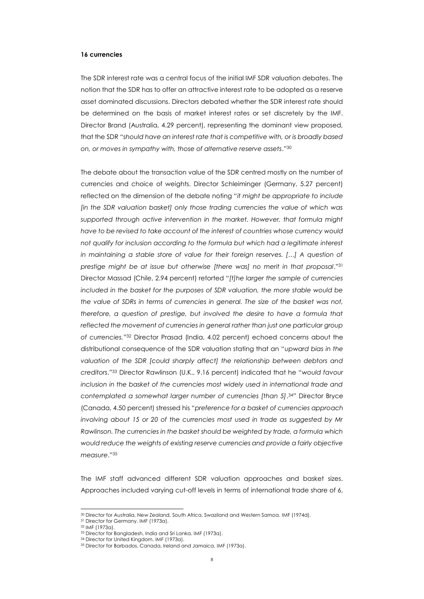#### **16 currencies**

The SDR interest rate was a central focus of the initial IMF SDR valuation debates. The notion that the SDR has to offer an attractive interest rate to be adopted as a reserve asset dominated discussions. Directors debated whether the SDR interest rate should be determined on the basis of market interest rates or set discretely by the IMF. Director Brand (Australia, 4.29 percent), representing the dominant view proposed, that the SDR "*should have an interest rate that is competitive with, or is broadly based on, or moves in sympathy with, those of alternative reserve assets*."<sup>30</sup>

The debate about the transaction value of the SDR centred mostly on the number of currencies and choice of weights. Director Schleiminger (Germany, 5.27 percent) reflected on the dimension of the debate noting "*it might be appropriate to include [in the SDR valuation basket] only those trading currencies the value of which was supported through active intervention in the market. However, that formula might have to be revised to take account of the interest of countries whose currency would not qualify for inclusion according to the formula but which had a legitimate interest in maintaining a stable store of value for their foreign reserves. [...] A question of prestige might be at issue but otherwise [there was] no merit in that proposal*."<sup>31</sup> Director Massad (Chile, 2.94 percent) retorted "*[t]he larger the sample of currencies included in the basket for the purposes of SDR valuation, the more stable would be the value of SDRs in terms of currencies in general. The size of the basket was not, therefore, a question of prestige, but involved the desire to have a formula that*  reflected the movement of currencies in general rather than just one particular group *of currencies.*" <sup>32</sup> Director Prasad (India, 4.02 percent) echoed concerns about the distributional consequence of the SDR valuation stating that an "*upward bias in the*  valuation of the SDR [could sharply affect] the relationship between debtors and *creditors*."<sup>33</sup> Director Rawlinson (U.K., 9.16 percent) indicated that he "*would favour inclusion in the basket of the currencies most widely used in international trade and contemplated a somewhat larger number of currencies [than 5]*. <sup>34</sup>" Director Bryce (Canada, 4.50 percent) stressed his "*preference for a basket of currencies approach involving about 15 or 20 of the currencies most used in trade as suggested by Mr Rawlinson. The currencies in the basket should be weighted by trade, a formula which would reduce the weights of existing reserve currencies and provide a fairly objective measure*."<sup>35</sup>

The IMF staff advanced different SDR valuation approaches and basket sizes. Approaches included varying cut-off levels in terms of international trade share of 6,

<sup>30</sup> Director for Australia, New Zealand, South Africa, Swaziland and Western Samoa. IMF (1974d).

<sup>31</sup> Director for Germany. IMF (1973a).

<sup>32</sup> IMF (1973a).

<sup>33</sup> Director for Bangladesh, India and Sri Lanka. IMF (1973a).

<sup>34</sup> Director for United Kingdom. IMF (1973a).

<sup>35</sup> Director for Barbados, Canada, Ireland and Jamaica. IMF (1973a).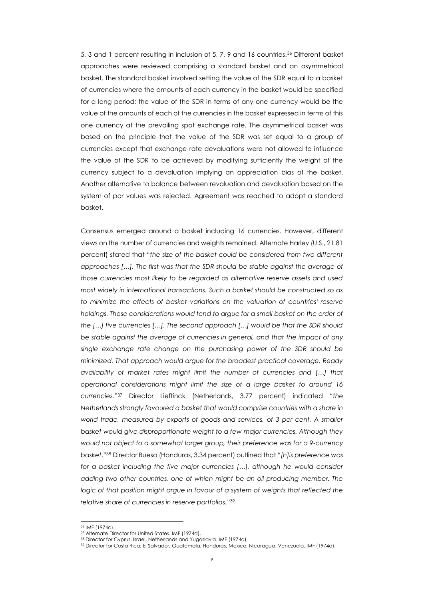5, 3 and 1 percent resulting in inclusion of 5, 7, 9 and 16 countries.<sup>36</sup> Different basket approaches were reviewed comprising a standard basket and an asymmetrical basket. The standard basket involved setting the value of the SDR equal to a basket of currencies where the amounts of each currency in the basket would be specified for a long period; the value of the SDR in terms of any one currency would be the value of the amounts of each of the currencies in the basket expressed in terms of this one currency at the prevailing spot exchange rate. The asymmetrical basket was based on the principle that the value of the SDR was set equal to a group of currencies except that exchange rate devaluations were not allowed to influence the value of the SDR to be achieved by modifying sufficiently the weight of the currency subject to a devaluation implying an appreciation bias of the basket. Another alternative to balance between revaluation and devaluation based on the system of par values was rejected. Agreement was reached to adopt a standard basket.

Consensus emerged around a basket including 16 currencies. However, different views on the number of currencies and weights remained. Alternate Harley (U.S., 21.81 percent) stated that "*the size of the basket could be considered from two different approaches […]. The first was that the SDR should be stable against the average of those currencies most likely to be regarded as alternative reserve assets and used most widely in international transactions. Such a basket should be constructed so as*  to minimize the effects of basket variations on the valuation of countries' reserve holdings. Those considerations would tend to argue for a small basket on the order of *the […] five currencies […]. The second approach […] would be that the SDR should*  be stable against the average of currencies in general, and that the impact of any *single exchange rate change on the purchasing power of the SDR should be minimized. That approach would argue for the broadest practical coverage. Ready availability of market rates might limit the number of currencies and […] that operational considerations might limit the size of a large basket to around 16 currencies*."<sup>37</sup> Director Lieftinck (Netherlands, 3.77 percent) indicated "*the Netherlands strongly favoured a basket that would comprise countries with a share in world trade, measured by exports of goods and services, of 3 per cent. A smaller*  basket would give disproportionate weight to a few major currencies. Although they *would not object to a somewhat larger group, their preference was for a 9-currency basket*."<sup>38</sup> Director Bueso (Honduras, 3.34 percent) outlined that "*[h]is preference was*  for a basket including the five major currencies [...], although he would consider *adding two other countries, one of which might be an oil producing member. The logic of that position might argue in favour of a system of weights that reflected the relative share of currencies in reserve portfolios.*" 39

<sup>36</sup> IMF (1974c).

<sup>37</sup> Alternate Director for United States. IMF (1974d).

<sup>38</sup> Director for Cyprus, Israel, Netherlands and Yugoslavia. IMF (1974d).

<sup>39</sup> Director for Costa Rica, El Salvador, Guatemala, Honduras, Mexico, Nicaragua, Venezuela. IMF (1974d).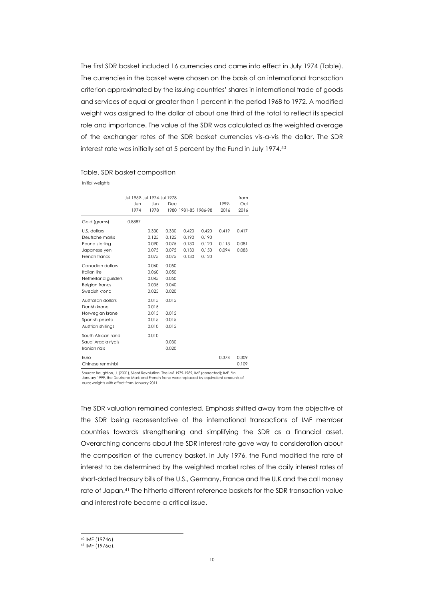The first SDR basket included 16 currencies and came into effect in July 1974 (Table). The currencies in the basket were chosen on the basis of an international transaction criterion approximated by the issuing countries' shares in international trade of goods and services of equal or greater than 1 percent in the period 1968 to 1972. A modified weight was assigned to the dollar of about one third of the total to reflect its special role and importance. The value of the SDR was calculated as the weighted average of the exchanger rates of the SDR basket currencies vis-a-vis the dollar. The SDR interest rate was initially set at 5 percent by the Fund in July 1974.<sup>40</sup>

#### Table. SDR basket composition

Initial weights

|                                                                                                                                                                              | Jul 1969 Jul 1974 Jul 1978 |                                                                               |                                                                      |                                  |                                  |                         | from                    |
|------------------------------------------------------------------------------------------------------------------------------------------------------------------------------|----------------------------|-------------------------------------------------------------------------------|----------------------------------------------------------------------|----------------------------------|----------------------------------|-------------------------|-------------------------|
|                                                                                                                                                                              | Jun                        | Jun                                                                           | Dec                                                                  |                                  |                                  | 1999-                   | Oct                     |
|                                                                                                                                                                              | 1974                       | 1978                                                                          |                                                                      | 1980 1981-85 1986-98             |                                  | 2016                    | 2016                    |
| Gold (grams)                                                                                                                                                                 | 0.8887                     |                                                                               |                                                                      |                                  |                                  |                         |                         |
| U.S. dollars<br>Deutsche marks<br>Pound sterling<br>Japanese yen                                                                                                             |                            | 0.330<br>0.125<br>0.090<br>0.075                                              | 0.330<br>0.125<br>0.075<br>0.075                                     | 0.420<br>0.190<br>0.130<br>0.130 | 0.420<br>0.190<br>0.120<br>0.150 | 0.419<br>0.113<br>0.094 | 0.417<br>0.081<br>0.083 |
| French francs                                                                                                                                                                |                            | 0.075                                                                         | 0.075                                                                | 0.130                            | 0.120                            |                         |                         |
| Canadian dollars<br>Italian lire<br>Netherland guilders<br><b>Belgian francs</b><br>Swedish krona<br>Australian dollars<br>Danish krone<br>Norwegian krone<br>Spanish peseta |                            | 0.060<br>0.060<br>0.045<br>0.035<br>0.025<br>0.015<br>0.015<br>0.015<br>0.015 | 0.050<br>0.050<br>0.050<br>0.040<br>0.020<br>0.015<br>0.015<br>0.015 |                                  |                                  |                         |                         |
| Austrian shillings                                                                                                                                                           |                            | 0.010                                                                         | 0.015                                                                |                                  |                                  |                         |                         |
| South African rand<br>Saudi Arabia riyals<br>Iranian rials                                                                                                                   |                            | 0.010                                                                         | 0.030<br>0.020                                                       |                                  |                                  |                         |                         |
| Euro<br>Chinese renminbi                                                                                                                                                     |                            |                                                                               |                                                                      |                                  |                                  | 0.374                   | 0.309<br>0.109          |

Source: Boughton, J. (2001), Silent Revolution: The IMF 1979-1989, IMF (corrected); IMF. \*In January 1999, the Deutsche Mark and French franc were replaced by equivalent amounts of euro; weights with effect from January 2011.

The SDR valuation remained contested. Emphasis shifted away from the objective of the SDR being representative of the international transactions of IMF member countries towards strengthening and simplifying the SDR as a financial asset. Overarching concerns about the SDR interest rate gave way to consideration about the composition of the currency basket. In July 1976, the Fund modified the rate of interest to be determined by the weighted market rates of the daily interest rates of short-dated treasury bills of the U.S., Germany, France and the U.K and the call money rate of Japan.<sup>41</sup> The hitherto different reference baskets for the SDR transaction value and interest rate became a critical issue.

<sup>40</sup> IMF (1974a).

<sup>41</sup> IMF (1976a).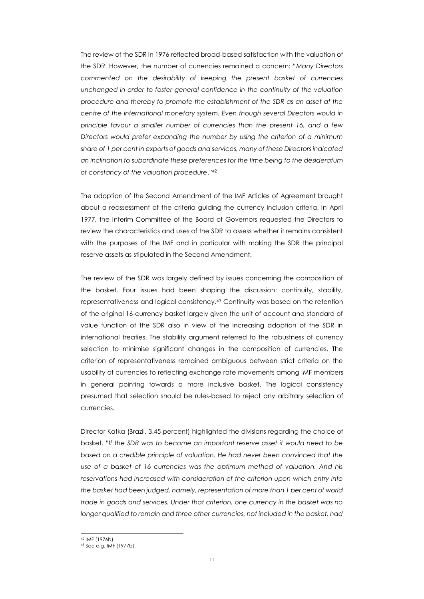The review of the SDR in 1976 reflected broad-based satisfaction with the valuation of the SDR. However, the number of currencies remained a concern: "*Many Directors commented on the desirability of keeping the present basket of currencies unchanged in order to foster general confidence in the continuity of the valuation procedure and thereby to promote the establishment of the SDR as an asset at the centre of the international monetary system. Even though several Directors would in principle favour a smaller number of currencies than the present 16, and a few Directors would prefer expanding the number by using the criterion of a minimum share of 1 per cent in exports of goods and services, many of these Directors indicated an inclination to subordinate these preferences for the time being to the desideratum of constancy of the valuation procedure*."<sup>42</sup>

The adoption of the Second Amendment of the IMF Articles of Agreement brought about a reassessment of the criteria guiding the currency inclusion criteria. In April 1977, the Interim Committee of the Board of Governors requested the Directors to review the characteristics and uses of the SDR to assess whether it remains consistent with the purposes of the IMF and in particular with making the SDR the principal reserve assets as stipulated in the Second Amendment.

The review of the SDR was largely defined by issues concerning the composition of the basket. Four issues had been shaping the discussion: continuity, stability, representativeness and logical consistency.<sup>43</sup> Continuity was based on the retention of the original 16-currency basket largely given the unit of account and standard of value function of the SDR also in view of the increasing adoption of the SDR in international treaties. The stability argument referred to the robustness of currency selection to minimise significant changes in the composition of currencies. The criterion of representativeness remained ambiguous between strict criteria on the usability of currencies to reflecting exchange rate movements among IMF members in general pointing towards a more inclusive basket. The logical consistency presumed that selection should be rules-based to reject any arbitrary selection of currencies.

Director Kafka (Brazil, 3.45 percent) highlighted the divisions regarding the choice of basket. "*If the SDR was to become an important reserve asset it would need to be*  based on a credible principle of valuation. He had never been convinced that the *use of a basket of 16 currencies was the optimum method of valuation. And his reservations had increased with consideration of the criterion upon which entry into the basket had been judged, namely, representation of more than 1 per cent of world trade in goods and services. Under that criterion, one currency in the basket was no longer qualified to remain and three other currencies, not included in the basket, had* 

<sup>43</sup> See e.g. IMF (1977b).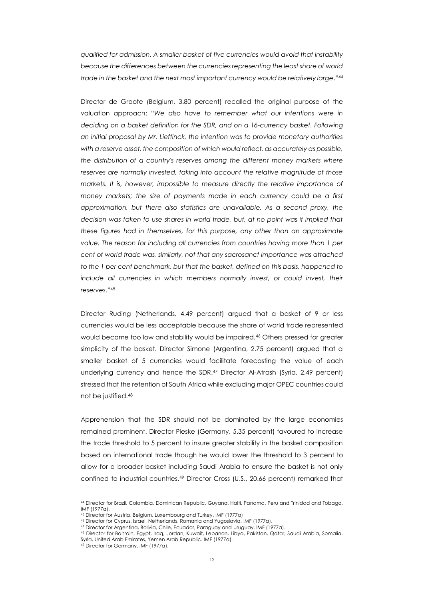*qualified for admission. A smaller basket of five currencies would avoid that instability because the differences between the currencies representing the least share of world trade in the basket and the next most important currency would be relatively large*."<sup>44</sup>

Director de Groote (Belgium, 3.80 percent) recalled the original purpose of the valuation approach: "*We also have to remember what our intentions were in deciding on a basket definition for the SDR, and on a 16-currency basket. Following an initial proposal by Mr. Lieftinck, the intention was to provide monetary authorities with a reserve asset, the composition of which would reflect, as accurately as possible, the distribution of a country's reserves among the different money markets where reserves are normally invested, taking into account the relative magnitude of those markets. It is, however, impossible to measure directly the relative importance of money markets; the size of payments made in each currency could be a first approximation, but there also statistics are unavailable. As a second proxy, the*  decision was taken to use shares in world trade, but, at no point was it implied that *these figures had in themselves, for this purpose, any other than an approximate value. The reason for including all currencies from countries having more than 1 per cent of world trade was, similarly, not that any sacrosanct importance was attached*  to the 1 per cent benchmark, but that the basket, defined on this basis, happened to include all currencies in which members normally invest, or could invest, their *reserves*."<sup>45</sup>

Director Ruding (Netherlands, 4.49 percent) argued that a basket of 9 or less currencies would be less acceptable because the share of world trade represented would become too low and stability would be impaired.<sup>46</sup> Others pressed for greater simplicity of the basket. Director Simone (Argentina, 2.75 percent) argued that a smaller basket of 5 currencies would facilitate forecasting the value of each underlying currency and hence the SDR.<sup>47</sup> Director Al-Atrash (Syria, 2.49 percent) stressed that the retention of South Africa while excluding major OPEC countries could not be justified.<sup>48</sup>

Apprehension that the SDR should not be dominated by the large economies remained prominent. Director Pieske (Germany, 5.35 percent) favoured to increase the trade threshold to 5 percent to insure greater stability in the basket composition based on international trade though he would lower the threshold to 3 percent to allow for a broader basket including Saudi Arabia to ensure the basket is not only confined to industrial countries.<sup>49</sup> Director Cross (U.S., 20.66 percent) remarked that

<sup>44</sup> Director for Brazil, Colombia, Dominican Republic, Guyana, Haiti, Panama, Peru and Trinidad and Tobago. IMF (1977a).

<sup>45</sup> Director for Austria, Belgium, Luxembourg and Turkey. IMF (1977a)

<sup>46</sup> Director for Cyprus, Israel, Netherlands, Romania and Yugoslavia. IMF (1977a).

<sup>47</sup> Director for Argentina, Bolivia, Chile, Ecuador, Paraguay and Uruguay. IMF (1977a).

<sup>48</sup> Director for Bahrain, Egypt, Iraq, Jordan, Kuwait, Lebanon, Libya, Pakistan, Qatar, Saudi Arabia, Somalia, Syria, United Arab Emirates, Yemen Arab Republic. IMF (1977a).

<sup>49</sup> Director for Germany. IMF (1977a).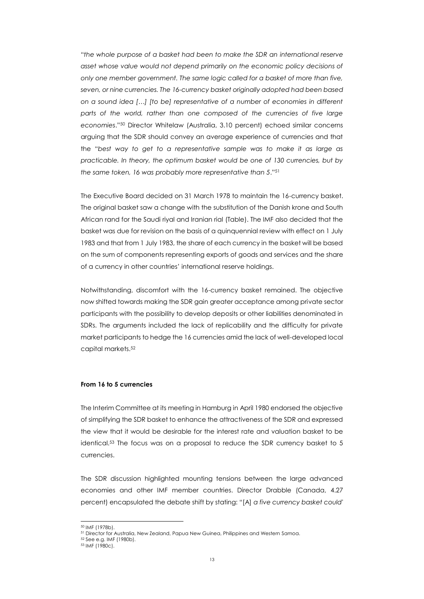"*the whole purpose of a basket had been to make the SDR an international reserve asset whose value would not depend primarily on the economic policy decisions of only one member government. The same logic called for a basket of more than five, seven, or nine currencies. The 16-currency basket originally adopted had been based on a sound idea […] [to be] representative of a number of economies in different*  parts of the world, rather than one composed of the currencies of five large *economies*."<sup>50</sup> Director Whitelaw (Australia, 3.10 percent) echoed similar concerns arguing that the SDR should convey an average experience of currencies and that the "*best way to get to a representative sample was to make it as large as practicable. In theory, the optimum basket would be one of 130 currencies, but by the same token, 16 was probably more representative than 5*."<sup>51</sup>

The Executive Board decided on 31 March 1978 to maintain the 16-currency basket. The original basket saw a change with the substitution of the Danish krone and South African rand for the Saudi riyal and Iranian rial (Table). The IMF also decided that the basket was due for revision on the basis of a quinquennial review with effect on 1 July 1983 and that from 1 July 1983, the share of each currency in the basket will be based on the sum of components representing exports of goods and services and the share of a currency in other countries' international reserve holdings.

Notwithstanding, discomfort with the 16-currency basket remained. The objective now shifted towards making the SDR gain greater acceptance among private sector participants with the possibility to develop deposits or other liabilities denominated in SDRs. The arguments included the lack of replicability and the difficulty for private market participants to hedge the 16 currencies amid the lack of well-developed local capital markets.<sup>52</sup>

# **From 16 to 5 currencies**

The Interim Committee at its meeting in Hamburg in April 1980 endorsed the objective of simplifying the SDR basket to enhance the attractiveness of the SDR and expressed the view that it would be desirable for the interest rate and valuation basket to be identical.<sup>53</sup> The focus was on a proposal to reduce the SDR currency basket to 5 currencies.

The SDR discussion highlighted mounting tensions between the large advanced economies and other IMF member countries. Director Drabble (Canada, 4.27 percent) encapsulated the debate shift by stating: "[A] *a five currency basket could'* 

<sup>50</sup> IMF (1978b).

<sup>51</sup> Director for Australia, New Zealand, Papua New Guinea, Philippines and Western Samoa.

<sup>52</sup> See e.g. IMF (1980b).

<sup>53</sup> IMF (1980c).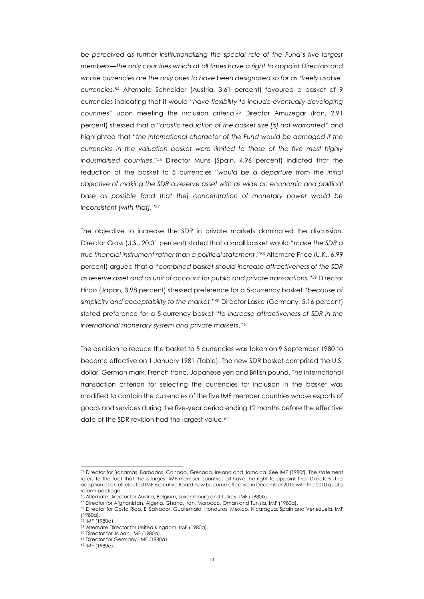*be perceived as further institutionalizing the special role of the Fund's five largest members—the only countries which at all times have a right to appoint Directors and whose currencies are the only ones to have been designated so far as 'freely usable' currencies*. <sup>54</sup> Alternate Schneider (Austria, 3.61 percent) favoured a basket of 9 currencies indicating that it would "*have flexibility to include eventually developing countries*" upon meeting the inclusion criteria.<sup>55</sup> Director Amuzegar (Iran, 2.91 percent) stressed that a "*drastic reduction of the basket size [is] not warranted*" and highlighted that "*the international character of the Fund would be damaged if the currencies in the valuation basket were limited to those of the five most highly industrialised countries*."<sup>56</sup> Director Muns (Spain, 4.96 percent) indicted that the reduction of the basket to 5 currencies "*would be a departure from the initial objective of making the SDR a reserve asset with as wide an economic and political base as possible [and that the] concentration of monetary power would be inconsistent [with that].*" 57

The objective to increase the SDR in private markets dominated the discussion. Director Cross (U.S., 20.01 percent) stated that a small basket would "*make the SDR a true financial instrument rather than a political statement*."<sup>58</sup> Alternate Price (U.K., 6.99 percent) argued that a "*combined basket should increase attractiveness of the SDR as reserve asset and as unit of account for public and private transactions.*" <sup>59</sup> Director Hirao (Japan, 3.98 percent) stressed preference for a 5-currency basket "*because of simplicity and acceptability to the market*."<sup>60</sup> Director Laske (Germany, 5.16 percent) stated preference for a 5-currency basket "*to increase attractiveness of SDR in the international monetary system and private markets*."<sup>61</sup>

The decision to reduce the basket to 5 currencies was taken on 9 September 1980 to become effective on 1 January 1981 (Table). The new SDR basket comprised the U.S. dollar, German mark, French franc, Japanese yen and British pound. The international transaction criterion for selecting the currencies for inclusion in the basket was modified to contain the currencies of the five IMF member countries whose exports of goods and services during the five-year period ending 12 months before the effective date of the SDR revision had the largest value.<sup>62</sup>

 $\overline{a}$ 

<sup>54</sup> Director for Bahamas, Barbados, Canada, Grenada, Ireland and Jamaica. See IMF (1980f). The statement refers to the fact that the 5 largest IMF member countries all have the right to appoint their Directors. The adoption of an all-elected IMF Executive Board now became effective in December 2015 with the 2010 quota reform package.

<sup>55</sup> Alternate Director for Austria, Belgium, Luxembourg and Turkey. IMF (1980b).

<sup>56</sup> Director for Afghanistan, Algeria, Ghana, Iran, Morocco, Oman and Tunisia. IMF (1980a).

<sup>57</sup> Director for Costa Rica, El Salvador, Guatemala, Honduras, Mexico, Nicaragua, Spain and Venezuela. IMF (1980a).

<sup>58</sup> IMF (1980a).

<sup>59</sup> Alternate Director for United Kingdom. IMF (1980a).

<sup>60</sup> Director for Japan. IMF (1980a).

<sup>61</sup> Director for Germany. IMF (1980a).

<sup>62</sup> IMF (1980e).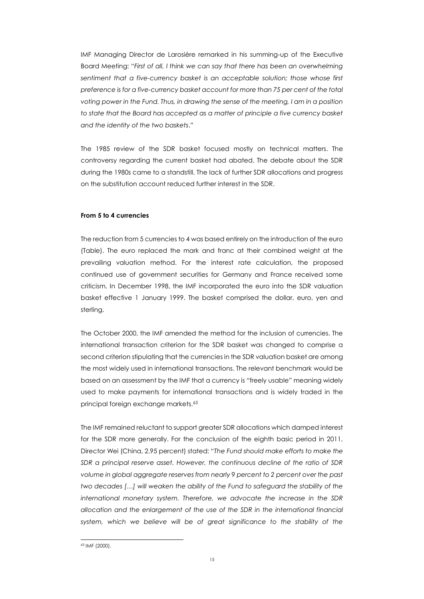IMF Managing Director de Larosière remarked in his summing-up of the Executive Board Meeting: "*First of all, I think we can say that there has been an overwhelming sentiment that a five-currency basket is an acceptable solution; those whose first preference is for a five-currency basket account for more than 75 per cent of the total voting power in the Fund. Thus, in drawing the sense of the meeting, I am in a position*  to state that the Board has accepted as a matter of principle a five currency basket *and the identity of the two baskets*."

The 1985 review of the SDR basket focused mostly on technical matters. The controversy regarding the current basket had abated. The debate about the SDR during the 1980s came to a standstill. The lack of further SDR allocations and progress on the substitution account reduced further interest in the SDR.

# **From 5 to 4 currencies**

The reduction from 5 currencies to 4 was based entirely on the introduction of the euro (Table). The euro replaced the mark and franc at their combined weight at the prevailing valuation method. For the interest rate calculation, the proposed continued use of government securities for Germany and France received some criticism. In December 1998, the IMF incorporated the euro into the SDR valuation basket effective 1 January 1999. The basket comprised the dollar, euro, yen and sterling.

The October 2000, the IMF amended the method for the inclusion of currencies. The international transaction criterion for the SDR basket was changed to comprise a second criterion stipulating that the currencies in the SDR valuation basket are among the most widely used in international transactions. The relevant benchmark would be based on an assessment by the IMF that a currency is "freely usable" meaning widely used to make payments for international transactions and is widely traded in the principal foreign exchange markets.<sup>63</sup>

The IMF remained reluctant to support greater SDR allocations which damped interest for the SDR more generally. For the conclusion of the eighth basic period in 2011, Director Wei (China, 2.95 percent) stated: "*The Fund should make efforts to make the SDR a principal reserve asset. However, the continuous decline of the ratio of SDR volume in global aggregate reserves from nearly 9 percent to 2 percent over the past two decades […] will weaken the ability of the Fund to safeguard the stability of the international monetary system. Therefore, we advocate the increase in the SDR allocation and the enlargement of the use of the SDR in the international financial*  system, which we believe will be of great significance to the stability of the

 $\overline{a}$ 63 IMF (2000).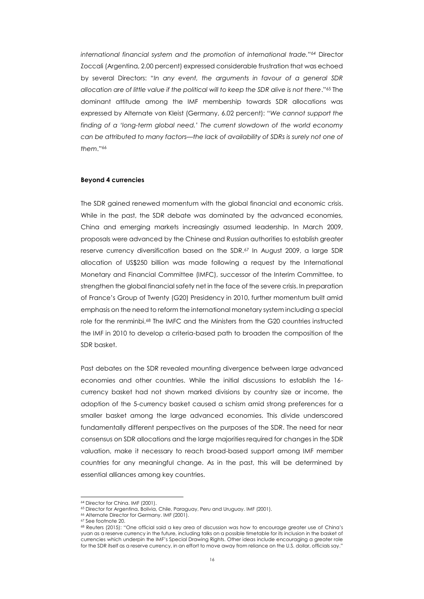*international financial system and the promotion of international trade."<sup>64</sup>* Director Zoccali (Argentina, 2.00 percent) expressed considerable frustration that was echoed by several Directors: "*In any event, the arguments in favour of a general SDR allocation are of little value if the political will to keep the SDR alive is not there*."<sup>65</sup> The dominant attitude among the IMF membership towards SDR allocations was expressed by Alternate von Kleist (Germany, 6.02 percent): "*We cannot support the finding of a 'long-term global need.' The current slowdown of the world economy can be attributed to many factors—the lack of availability of SDRs is surely not one of them*."<sup>66</sup>

#### **Beyond 4 currencies**

The SDR gained renewed momentum with the global financial and economic crisis. While in the past, the SDR debate was dominated by the advanced economies, China and emerging markets increasingly assumed leadership. In March 2009, proposals were advanced by the Chinese and Russian authorities to establish greater reserve currency diversification based on the SDR.<sup>67</sup> In August 2009, a large SDR allocation of US\$250 billion was made following a request by the International Monetary and Financial Committee (IMFC), successor of the Interim Committee, to strengthen the global financial safety net in the face of the severe crisis. In preparation of France's Group of Twenty (G20) Presidency in 2010, further momentum built amid emphasis on the need to reform the international monetary system including a special role for the renminbi.<sup>68</sup> The IMFC and the Ministers from the G20 countries instructed the IMF in 2010 to develop a criteria-based path to broaden the composition of the SDR basket.

Past debates on the SDR revealed mounting divergence between large advanced economies and other countries. While the initial discussions to establish the 16 currency basket had not shown marked divisions by country size or income, the adoption of the 5-currency basket caused a schism amid strong preferences for a smaller basket among the large advanced economies. This divide underscored fundamentally different perspectives on the purposes of the SDR. The need for near consensus on SDR allocations and the large majorities required for changes in the SDR valuation, make it necessary to reach broad-based support among IMF member countries for any meaningful change. As in the past, this will be determined by essential alliances among key countries.

<sup>64</sup> Director for China. IMF (2001).

<sup>65</sup> Director for Argentina, Bolivia, Chile, Paraguay, Peru and Uruguay. IMF (2001).

<sup>66</sup> Alternate Director for Germany. IMF (2001).

<sup>67</sup> See footnot[e 20.](#page-5-0)

<sup>68</sup> Reuters (2015): "One official said a key area of discussion was how to encourage greater use of China's yuan as a reserve currency in the future, including talks on a possible timetable for its inclusion in the basket of currencies which underpin the IMF's Special Drawing Rights. Other ideas include encouraging a greater role for the SDR itself as a reserve currency, in an effort to move away from reliance on the U.S. dollar, officials say."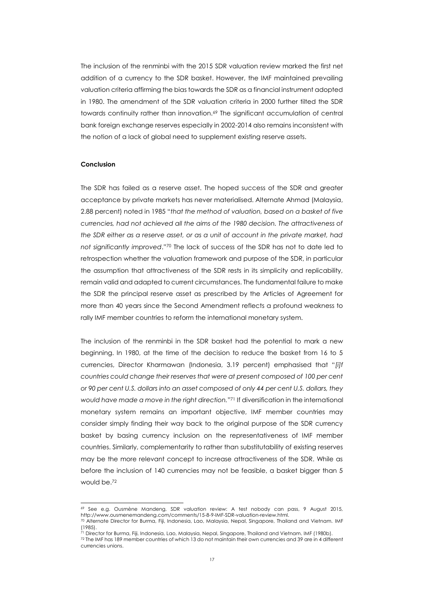The inclusion of the renminbi with the 2015 SDR valuation review marked the first net addition of a currency to the SDR basket. However, the IMF maintained prevailing valuation criteria affirming the bias towards the SDR as a financial instrument adopted in 1980. The amendment of the SDR valuation criteria in 2000 further tilted the SDR towards continuity rather than innovation.<sup>69</sup> The significant accumulation of central bank foreign exchange reserves especially in 2002-2014 also remains inconsistent with the notion of a lack of global need to supplement existing reserve assets.

#### **Conclusion**

l

The SDR has failed as a reserve asset. The hoped success of the SDR and greater acceptance by private markets has never materialised. Alternate Ahmad (Malaysia, 2.88 percent) noted in 1985 "*that the method of valuation, based on a basket of five currencies, had not achieved all the aims of the 1980 decision. The attractiveness of the SDR either as a reserve asset, or as a unit of account in the private market, had not significantly improved*."<sup>70</sup> The lack of success of the SDR has not to date led to retrospection whether the valuation framework and purpose of the SDR, in particular the assumption that attractiveness of the SDR rests in its simplicity and replicability, remain valid and adapted to current circumstances. The fundamental failure to make the SDR the principal reserve asset as prescribed by the Articles of Agreement for more than 40 years since the Second Amendment reflects a profound weakness to rally IMF member countries to reform the international monetary system.

The inclusion of the renminbi in the SDR basket had the potential to mark a new beginning. In 1980, at the time of the decision to reduce the basket from 16 to 5 currencies, Director Kharmawan (Indonesia, 3.19 percent) emphasised that "*[i]f countries could change their reserves that were at present composed of 100 per cent or 90 per cent U.S. dollars into an asset composed of only 44 per cent U.S. dollars, they would have made a move in the right direction.*" <sup>71</sup> If diversification in the international monetary system remains an important objective, IMF member countries may consider simply finding their way back to the original purpose of the SDR currency basket by basing currency inclusion on the representativeness of IMF member countries. Similarly, complementarity to rather than substitutability of existing reserves may be the more relevant concept to increase attractiveness of the SDR. While as before the inclusion of 140 currencies may not be feasible, a basket bigger than 5 would be.<sup>72</sup>

<sup>69</sup> See e.g. Ousmène Mandeng, SDR valuation review: A test nobody can pass, 9 August 2015, http://www.ousmenemandeng.com/comments/15-8-9-IMF-SDR-valuation-review.html.

<sup>70</sup> Alternate Director for Burma, Fiji, Indonesia, Lao, Malaysia, Nepal, Singapore, Thailand and Vietnam. IMF (1985).

<sup>71</sup> Director for Burma, Fiji, Indonesia, Lao, Malaysia, Nepal, Singapore, Thailand and Vietnam. IMF (1980b).

<sup>72</sup> The IMF has 189 member countries of which 13 do not maintain their own currencies and 39 are in 4 different currencies unions.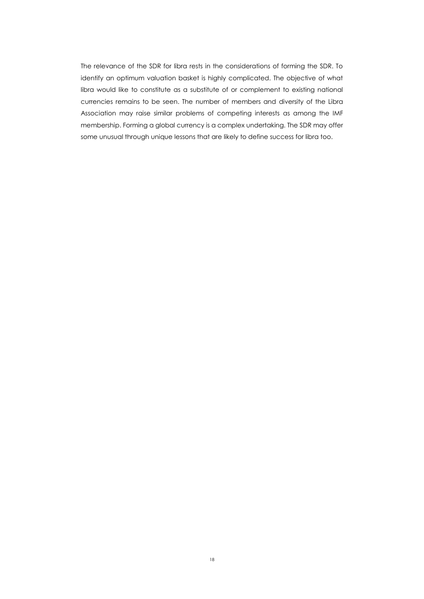The relevance of the SDR for libra rests in the considerations of forming the SDR. To identify an optimum valuation basket is highly complicated. The objective of what libra would like to constitute as a substitute of or complement to existing national currencies remains to be seen. The number of members and diversity of the Libra Association may raise similar problems of competing interests as among the IMF membership. Forming a global currency is a complex undertaking. The SDR may offer some unusual through unique lessons that are likely to define success for libra too.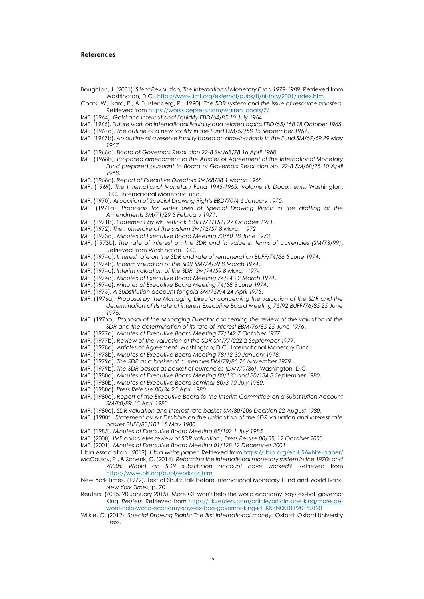#### **References**

- Boughton, J. (2001). *Silent Revolution, The International Monetary Fund 1979-1989*. Retrieved from Washington, D.C.:<https://www.imf.org/external/pubs/ft/history/2001/index.htm>
- Coats, W., Isard, P., & Furstenberg, R. (1990). *The SDR system and the issue of resource transfers*. Retrieved fro[m https://works.bepress.com/warren\\_coats/7/](https://works.bepress.com/warren_coats/7/)
- IMF. (1964). *Gold and international liquidity EBD/64/85 10 July 1964*.
- IMF. (1965). *Future work on international liquidity and related topics EBD/65/168 18 October 1965*.
- IMF. (1967a). *The outline of a new facility in the Fund DM/67/58 15 September 1967*.
- IMF. (1967b). *An outline of a reserve facility based on drawing rights in the Fund SM/67/69 29 May 1967*.
- IMF. (1968a). *Board of Governors Resolution 22-8 SM/68/78 16 April 1968*.
- IMF. (1968b). *Proposed amendment to the Articles of Agreement of the International Monetary*  Fund prepared pursuant to Board of Governors Resolution No. 22-8 SM/68/75 10 April *1968*.
- IMF. (1968c). *Report of Executive Directors SM/68/38 1 March 1968*.
- IMF. (1969). *The International Monetary Fund 1945-1965, Volume III: Documents*. Washington, D.C.: International Monetary Fund.
- IMF. (1970). *Allocation of Special Drawing Rights EBD/70/4 6 January 1970*.
- IMF. (1971a). *Proposals for wider uses of Special Drawing Rights in the drafting of the Amendments SM/71/29 5 February 1971*.
- IMF. (1971b). *Statement by Mr Lieftinck (BUFF/71/151) 27 October 1971*.
- IMF. (1972). *The numeraire of the system SM/72/57 8 March 1972*.
- IMF. (1973a). *Minutes of Executive Board Meeting 73/60 18 June 1973*.
- IMF. (1973b). *The rate of interest on the SDR and its value in terms of currencies (SM/73/99)*. Retrieved from Washington, D.C.:
- IMF. (1974a). *Interest rate on the SDR and rate of remuneration BUFF/74/66 5 June 1974*.
- IMF. (1974b). *Interim valuation of the SDR SM/74/59 8 March 1974*.
- IMF. (1974c). *Interim valuation of the SDR, SM/74/59 8 March 1974*.
- IMF. (1974d). *Minutes of Executive Board Meeting 74/24 22 March 1974*.
- IMF. (1974e). *Minutes of Executive Board Meeting 74/58 3 June 1974*.
- IMF. (1975). *A Substitution account for gold SM/75/94 24 April 1975*.
- IMF. (1976a). *Proposal by the Managing Director concerning the valuation of the SDR and the determination of its rate of interest Executive Board Meeting 76/92 BUFF/76/85 25 June 1976*.
- IMF. (1976b). *Proposal of the Managing Director concerning the review of the valuation of the SDR and the determination of its rate of interest EBM/76/85 25 June 1976*.
- IMF. (1977a). *Minutes of Executive Board Meeting 77/142 7 October 1977*.
- IMF. (1977b). *Review of the valuation of the SDR SM/77/222 2 September 1977*.
- IMF. (1978a). *Articles of Agreement*. Washington, D.C.: International Monetary Fund.
- IMF. (1978b). *Minutes of Executive Board Meeting 78/12 30 January 1978.*
- IMF. (1979a). *The SDR as a basket of currencies DM/79/86 26 November 1979*.
- IMF. (1979b). *The SDR basket as basket of currencies (DM/79/86)*. Washington, D.C.
- IMF. (1980a). *Minutes of Executive Board Meeting 80/133 and 80/134 8 September 1980*.
- IMF. (1980b). *Minutes of Executive Board Seminar 80/3 10 July 1980*.
- IMF. (1980c). *Press Release 80/34 25 April 1980*.
- IMF. (1980d). *Report of the Executive Board to the Interim Committee on a Substitution Account SM/80/89 15 April 1980*.
- IMF. (1980e). *SDR valuation and interest rate basket SM/80/206 Decision 22 August 1980*.
- IMF. (1980f). *Statement by Mr Drabble on the unification of the SDR valuation and interest rate basket BUFF/80/101 15 May 1980*.
- IMF. (1985). *Minutes of Executive Board Meeting 85/102 1 July 1985*.
- IMF. (2000). *IMF completes review of SDR valuation , Press Relase 00/55, 12 October 2000*.
- IMF. (2001). *Minutes of Executive Board Meeting 01/128 12 December 2001*.
- Libra Association. (2019). *Libra white paper*. Retrieved from<https://libra.org/en-US/white-paper/>
- McCaulay, R., & Schenk, C. (2014). *Reforming the international monetary system in the 1970s and*
- *2000s: Would an SDR substitution account have worked?* Retrieved from <https://www.bis.org/publ/work444.htm>
- New York Times. (1972). Text of Shultz talk before International Monetary Fund and World Bank. *New York Times,* p. 70.
- Reuters. (2015, 20 January 2015). More QE won't help the world economy, says ex-BoE governor King. *Reuters*. Retrieved from [https://uk.reuters.com/article/britain-boe-king/more-qe](https://uk.reuters.com/article/britain-boe-king/more-qe-wont-help-world-economy-says-ex-boe-governor-king-idUKKBN0KT0IP20150120)[wont-help-world-economy-says-ex-boe-governor-king-idUKKBN0KT0IP20150120](https://uk.reuters.com/article/britain-boe-king/more-qe-wont-help-world-economy-says-ex-boe-governor-king-idUKKBN0KT0IP20150120)
- Wilkie, C. (2012). *Special Drawing Rights: The first international money*. Oxford: Oxford University Press.